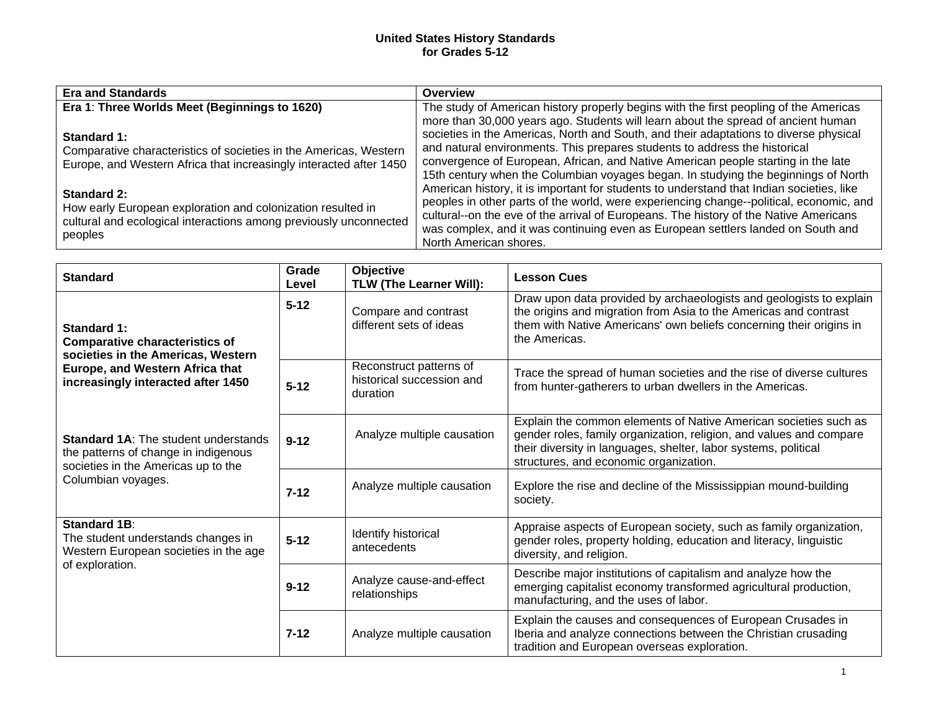## **United States History Standards for Grades 5-12**

| <b>Era and Standards</b>                                           | Overview                                                                                 |
|--------------------------------------------------------------------|------------------------------------------------------------------------------------------|
| Era 1: Three Worlds Meet (Beginnings to 1620)                      | The study of American history properly begins with the first peopling of the Americas    |
|                                                                    | more than 30,000 years ago. Students will learn about the spread of ancient human        |
| Standard 1:                                                        | societies in the Americas, North and South, and their adaptations to diverse physical    |
| Comparative characteristics of societies in the Americas, Western  | and natural environments. This prepares students to address the historical               |
| Europe, and Western Africa that increasingly interacted after 1450 | convergence of European, African, and Native American people starting in the late        |
|                                                                    | 15th century when the Columbian voyages began. In studying the beginnings of North       |
| <b>Standard 2:</b>                                                 | American history, it is important for students to understand that Indian societies, like |
| How early European exploration and colonization resulted in        | peoples in other parts of the world, were experiencing change--political, economic, and  |
| cultural and ecological interactions among previously unconnected  | cultural--on the eve of the arrival of Europeans. The history of the Native Americans    |
| peoples                                                            | was complex, and it was continuing even as European settlers landed on South and         |
|                                                                    | North American shores.                                                                   |

| <b>Standard</b>                                                                                                                                                     | Grade<br>Level | Objective<br>TLW (The Learner Will):                             | <b>Lesson Cues</b>                                                                                                                                                                                                                                   |
|---------------------------------------------------------------------------------------------------------------------------------------------------------------------|----------------|------------------------------------------------------------------|------------------------------------------------------------------------------------------------------------------------------------------------------------------------------------------------------------------------------------------------------|
| Standard 1:<br><b>Comparative characteristics of</b><br>societies in the Americas, Western<br>Europe, and Western Africa that<br>increasingly interacted after 1450 | $5 - 12$       | Compare and contrast<br>different sets of ideas                  | Draw upon data provided by archaeologists and geologists to explain<br>the origins and migration from Asia to the Americas and contrast<br>them with Native Americans' own beliefs concerning their origins in<br>the Americas.                      |
|                                                                                                                                                                     | $5 - 12$       | Reconstruct patterns of<br>historical succession and<br>duration | Trace the spread of human societies and the rise of diverse cultures<br>from hunter-gatherers to urban dwellers in the Americas.                                                                                                                     |
| <b>Standard 1A: The student understands</b><br>the patterns of change in indigenous<br>societies in the Americas up to the<br>Columbian voyages.                    | $9 - 12$       | Analyze multiple causation                                       | Explain the common elements of Native American societies such as<br>gender roles, family organization, religion, and values and compare<br>their diversity in languages, shelter, labor systems, political<br>structures, and economic organization. |
|                                                                                                                                                                     | $7 - 12$       | Analyze multiple causation                                       | Explore the rise and decline of the Mississippian mound-building<br>society.                                                                                                                                                                         |
| <b>Standard 1B:</b><br>The student understands changes in<br>Western European societies in the age<br>of exploration.                                               | $5 - 12$       | Identify historical<br>antecedents                               | Appraise aspects of European society, such as family organization,<br>gender roles, property holding, education and literacy, linguistic<br>diversity, and religion.                                                                                 |
|                                                                                                                                                                     | $9 - 12$       | Analyze cause-and-effect<br>relationships                        | Describe major institutions of capitalism and analyze how the<br>emerging capitalist economy transformed agricultural production,<br>manufacturing, and the uses of labor.                                                                           |
|                                                                                                                                                                     | $7 - 12$       | Analyze multiple causation                                       | Explain the causes and consequences of European Crusades in<br>Iberia and analyze connections between the Christian crusading<br>tradition and European overseas exploration.                                                                        |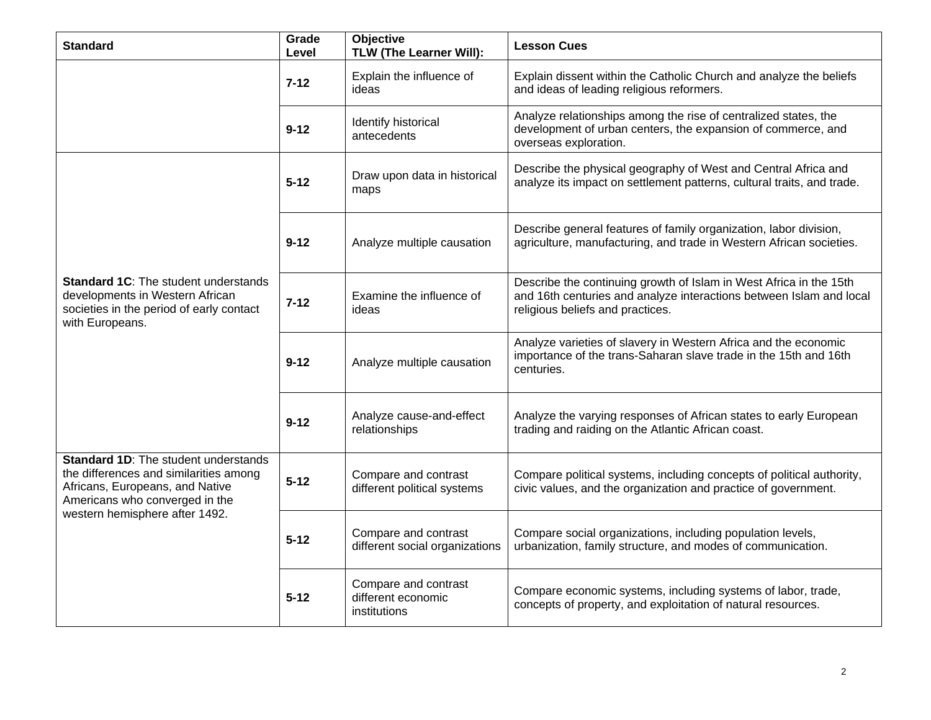| <b>Standard</b>                                                                                                                                                                              | Grade<br>Level | Objective<br>TLW (The Learner Will):                       | <b>Lesson Cues</b>                                                                                                                                                            |
|----------------------------------------------------------------------------------------------------------------------------------------------------------------------------------------------|----------------|------------------------------------------------------------|-------------------------------------------------------------------------------------------------------------------------------------------------------------------------------|
|                                                                                                                                                                                              | $7 - 12$       | Explain the influence of<br>ideas                          | Explain dissent within the Catholic Church and analyze the beliefs<br>and ideas of leading religious reformers.                                                               |
|                                                                                                                                                                                              | $9 - 12$       | Identify historical<br>antecedents                         | Analyze relationships among the rise of centralized states, the<br>development of urban centers, the expansion of commerce, and<br>overseas exploration.                      |
|                                                                                                                                                                                              | 5-12           | Draw upon data in historical<br>maps                       | Describe the physical geography of West and Central Africa and<br>analyze its impact on settlement patterns, cultural traits, and trade.                                      |
|                                                                                                                                                                                              | $9 - 12$       | Analyze multiple causation                                 | Describe general features of family organization, labor division,<br>agriculture, manufacturing, and trade in Western African societies.                                      |
| <b>Standard 1C:</b> The student understands<br>developments in Western African<br>societies in the period of early contact<br>with Europeans.                                                | $7 - 12$       | Examine the influence of<br>ideas                          | Describe the continuing growth of Islam in West Africa in the 15th<br>and 16th centuries and analyze interactions between Islam and local<br>religious beliefs and practices. |
|                                                                                                                                                                                              | $9 - 12$       | Analyze multiple causation                                 | Analyze varieties of slavery in Western Africa and the economic<br>importance of the trans-Saharan slave trade in the 15th and 16th<br>centuries.                             |
|                                                                                                                                                                                              | $9 - 12$       | Analyze cause-and-effect<br>relationships                  | Analyze the varying responses of African states to early European<br>trading and raiding on the Atlantic African coast.                                                       |
| <b>Standard 1D:</b> The student understands<br>the differences and similarities among<br>Africans, Europeans, and Native<br>Americans who converged in the<br>western hemisphere after 1492. | $5 - 12$       | Compare and contrast<br>different political systems        | Compare political systems, including concepts of political authority,<br>civic values, and the organization and practice of government.                                       |
|                                                                                                                                                                                              | $5 - 12$       | Compare and contrast<br>different social organizations     | Compare social organizations, including population levels,<br>urbanization, family structure, and modes of communication.                                                     |
|                                                                                                                                                                                              | 5-12           | Compare and contrast<br>different economic<br>institutions | Compare economic systems, including systems of labor, trade,<br>concepts of property, and exploitation of natural resources.                                                  |